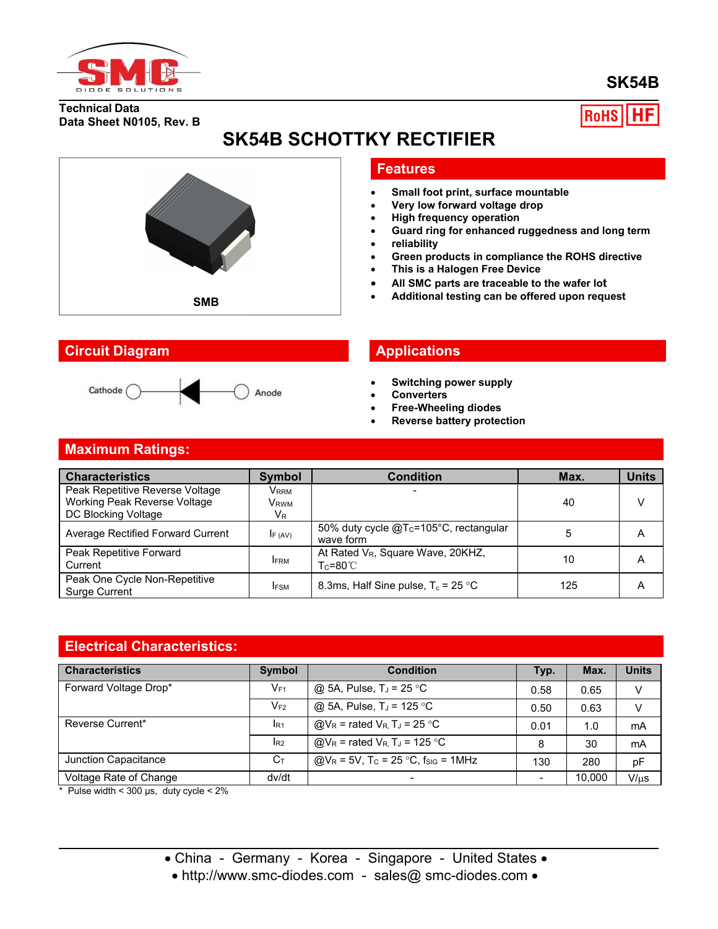

# **SK54B**

**Technical Data Data Sheet N0105, Rev. B** **RoHS** 

# **SK54B SCHOTTKY RECTIFIER**



## **Circuit Diagram Applications**



# **Features**

- **Small foot print, surface mountable**
- **Very low forward voltage drop**
- **High frequency operation**
- **Guard ring for enhanced ruggedness and long term**
- **reliability**
- **Green products in compliance the ROHS directive**
- **This is a Halogen Free Device**
- **All SMC parts are traceable to the wafer lot**
- **Additional testing can be offered upon request SMB**

- **Switching power supply**
- **Converters**
- **Free-Wheeling diodes**
- **Reverse battery protection**

# **Maximum Ratings:**

| <b>Characteristics</b>                                                                 | <b>Symbol</b>                       | <b>Condition</b>                                                | Max. | <b>Units</b> |
|----------------------------------------------------------------------------------------|-------------------------------------|-----------------------------------------------------------------|------|--------------|
| Peak Repetitive Reverse Voltage<br>Working Peak Reverse Voltage<br>DC Blocking Voltage | Vrrm<br>V <sub>RWM</sub><br>$V_{R}$ |                                                                 | 40   |              |
| Average Rectified Forward Current                                                      | IF (AV)                             | 50% duty cycle @T <sub>c</sub> =105°C, rectangular<br>wave form |      | А            |
| Peak Repetitive Forward<br>Current                                                     | <b>IFRM</b>                         | At Rated V <sub>R</sub> , Square Wave, 20KHZ,<br>Tc=80℃.        | 10   | A            |
| Peak One Cycle Non-Repetitive<br>Surge Current                                         | <b>IFSM</b>                         | 8.3ms, Half Sine pulse, $T_c = 25$ °C                           | 125  | A            |

## **Electrical Characteristics:**

| <b>Characteristics</b> | <b>Symbol</b>  | <b>Condition</b>                                              | Typ. | Max.   | <b>Units</b> |
|------------------------|----------------|---------------------------------------------------------------|------|--------|--------------|
| Forward Voltage Drop*  | $V_{F1}$       | @ 5A, Pulse, $T_J = 25$ °C                                    | 0.58 | 0.65   | v            |
|                        | $V_{F2}$       | @ 5A, Pulse, $T_J = 125$ °C                                   | 0.50 | 0.63   | V            |
| Reverse Current*       | IR1            | $@V_R$ = rated $V_R$ , T <sub>J</sub> = 25 °C                 | 0.01 | 1.0    | mA           |
|                        | $I_{R2}$       | $@V_R$ = rated $V_R$ , T <sub>J</sub> = 125 °C                | 8    | 30     | mA           |
| Junction Capacitance   | $C_{\text{T}}$ | @ $V_R$ = 5V, T <sub>c</sub> = 25 °C, f <sub>siG</sub> = 1MHz | 130  | 280    | pF           |
| Voltage Rate of Change | dv/dt          | $\overline{\phantom{0}}$                                      |      | 10,000 | $V/\mu s$    |

 $*$  Pulse width < 300 µs, duty cycle < 2%

• China - Germany - Korea - Singapore - United States •

• http://www.smc-diodes.com - sales@ smc-diodes.com •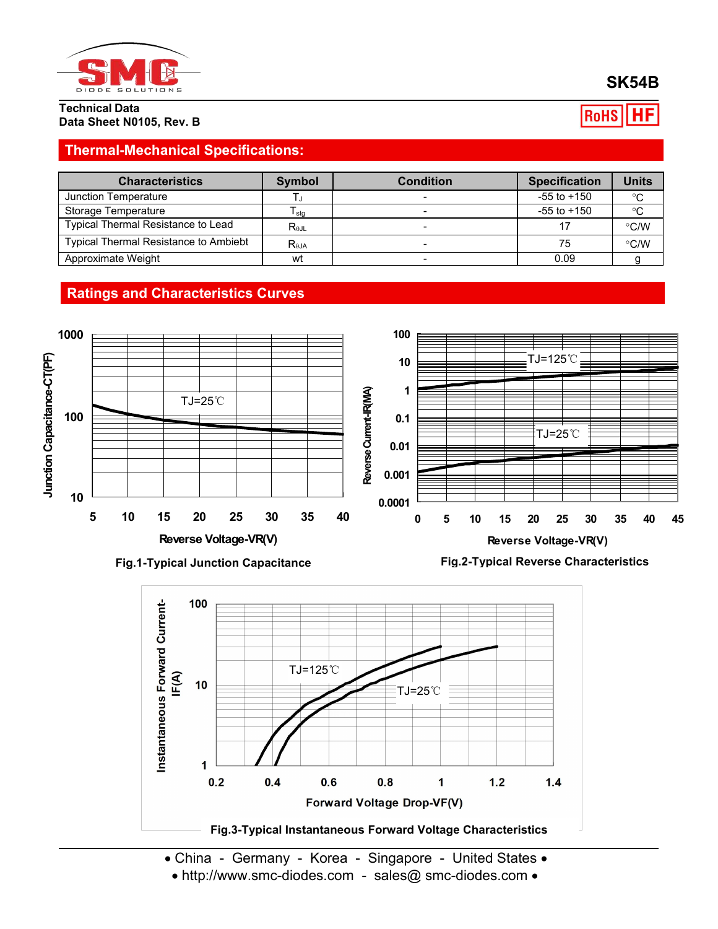

**Technical Data Data Sheet N0105, Rev. B**

### **SK54B RoHS** HЕ

# **Thermal-Mechanical Specifications:**

| <b>Characteristics</b>                | Symbol                           | <b>Condition</b> | <b>Specification</b> | <b>Units</b>  |
|---------------------------------------|----------------------------------|------------------|----------------------|---------------|
| Junction Temperature                  |                                  |                  | $-55$ to $+150$      | $^{\circ}C$   |
| Storage Temperature                   | I stq                            |                  | $-55$ to $+150$      | °C            |
| Typical Thermal Resistance to Lead    | $R_{\theta \text{JL}}$           |                  |                      | $\degree$ C/W |
| Typical Thermal Resistance to Ambiebt | $\mathsf{R}_{\theta\mathsf{JA}}$ |                  | 75                   | $\degree$ C/W |
| Approximate Weight                    | wt                               |                  | 0.09                 |               |

# **Ratings and Characteristics Curves**









- China Germany Korea Singapore United States •
- http://www.smc-diodes.com sales@ smc-diodes.com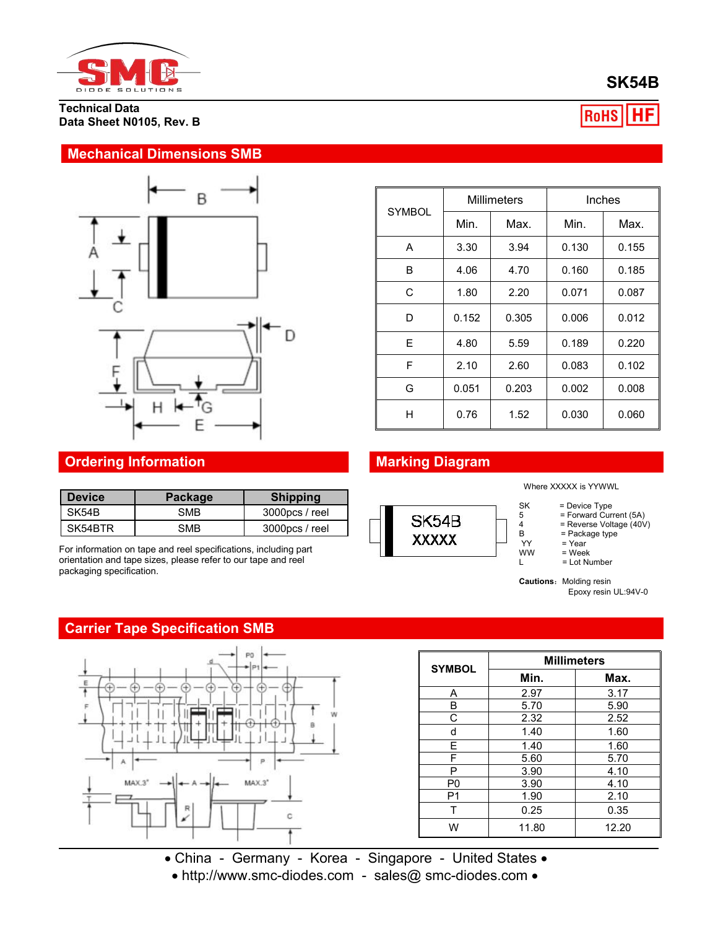

**Technical Data Data Sheet N0105, Rev. B**

### **Mechanical Dimensions SMB**



|               |       | <b>Millimeters</b> | Inches |       |
|---------------|-------|--------------------|--------|-------|
| <b>SYMBOL</b> | Min.  | Max.               | Min.   | Max.  |
| A             | 3.30  | 3.94               | 0.130  | 0.155 |
| B             | 4.06  | 4.70               | 0.160  | 0.185 |
| C             | 1.80  | 2.20               | 0.071  | 0.087 |
| D             | 0.152 | 0.305              | 0.006  | 0.012 |
| E             | 4.80  | 5.59               | 0.189  | 0.220 |
| F             | 2.10  | 2.60               | 0.083  | 0.102 |
| G             | 0.051 | 0.203              | 0.002  | 0.008 |
| H             | 0.76  | 1.52               | 0.030  | 0.060 |



Where XXXXX is YYWWL

- $SK = Device Type$ <br>  $5 = Forward Cur$
- 5 = Forward Current (5A)
- 4 = Reverse Voltage (40V)
- $B =$  Package type<br>YY = Year
- YY = Year<br>WW = Week  $=$  Week
- $L = Lot Number$

**Cautions: Molding resin** Epoxy resin UL:94V-0

# **Ordering Information Marking Diagram**

| <b>Device</b> | <b>Package</b> | <b>Shipping</b> |                   |
|---------------|----------------|-----------------|-------------------|
| SK54B         | SMB            | 3000pcs / reel  | SK54E             |
| SK54BTR       | SMB            | 3000pcs / reel  | <b>3232322322</b> |

For information on tape and reel specifications, including part orientation and tape sizes, please refer to our tape and reel packaging specification.

# **Carrier Tape Specification SMB**



| <b>SYMBOL</b>  | <b>Millimeters</b> |       |  |  |
|----------------|--------------------|-------|--|--|
|                | Min.               | Max.  |  |  |
| Α              | 2.97               | 3.17  |  |  |
| B              | 5.70               | 5.90  |  |  |
| С              | 2.32               | 2.52  |  |  |
| d              | 1.40               | 1.60  |  |  |
| E              | 1.40               | 1.60  |  |  |
| F              | 5.60               | 5.70  |  |  |
| P              | 3.90               | 4.10  |  |  |
| P <sub>0</sub> | 3.90               | 4.10  |  |  |
| P <sub>1</sub> | 1.90               | 2.10  |  |  |
|                | 0.25               | 0.35  |  |  |
| W              | 11.80              | 12.20 |  |  |

 China - Germany - Korea - Singapore - United States • http://www.smc-diodes.com - sales@ smc-diodes.com •

**SK54B**

|RoHS|| HF